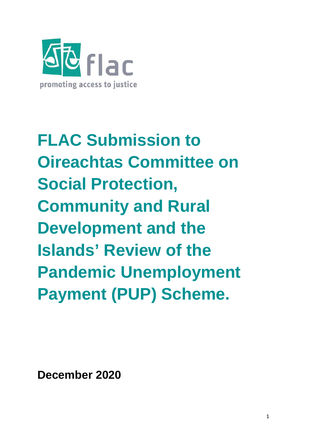

**FLAC Submission to Oireachtas Committee on Social Protection, Community and Rural Development and the Islands' Review of the Pandemic Unemployment Payment (PUP) Scheme.**

**December 2020**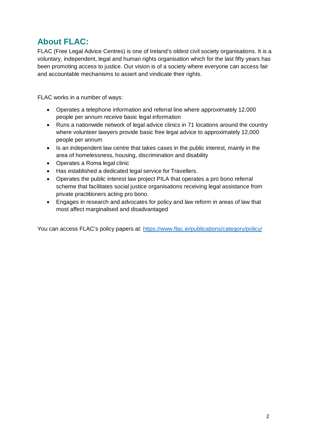# **About FLAC:**

FLAC (Free Legal Advice Centres) is one of Ireland's oldest civil society organisations. It is a voluntary, independent, legal and human rights organisation which for the last fifty years has been promoting access to justice. Our vision is of a society where everyone can access fair and accountable mechanisms to assert and vindicate their rights.

FLAC works in a number of ways:

- Operates a telephone information and referral line where approximately 12,000 people per annum receive basic legal information
- Runs a nationwide network of legal advice clinics in 71 locations around the country where volunteer lawyers provide basic free legal advice to approximately 12,000 people per annum
- Is an independent law centre that takes cases in the public interest, mainly in the area of homelessness, housing, discrimination and disability
- Operates a Roma legal clinic
- Has established a dedicated legal service for Travellers.
- Operates the public interest law project PILA that operates a pro bono referral scheme that facilitates social justice organisations receiving legal assistance from private practitioners acting pro bono.
- Engages in research and advocates for policy and law reform in areas of law that most affect marginalised and disadvantaged

You can access FLAC's policy papers at:<https://www.flac.ie/publications/category/policy/>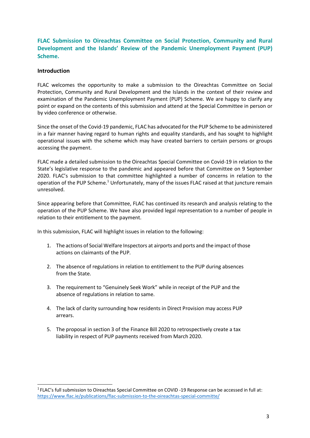**FLAC Submission to Oireachtas Committee on Social Protection, Community and Rural Development and the Islands' Review of the Pandemic Unemployment Payment (PUP) Scheme.**

# **Introduction**

FLAC welcomes the opportunity to make a submission to the Oireachtas Committee on Social Protection, Community and Rural Development and the Islands in the context of their review and examination of the Pandemic Unemployment Payment (PUP) Scheme. We are happy to clarify any point or expand on the contents of this submission and attend at the Special Committee in person or by video conference or otherwise.

Since the onset of the Covid-19 pandemic, FLAC has advocated for the PUP Scheme to be administered in a fair manner having regard to human rights and equality standards, and has sought to highlight operational issues with the scheme which may have created barriers to certain persons or groups accessing the payment.

FLAC made a detailed submission to the Oireachtas Special Committee on Covid-19 in relation to the State's legislative response to the pandemic and appeared before that Committee on 9 September 2020. FLAC's submission to that committee highlighted a number of concerns in relation to the operation of the PUP Scheme.<sup>1</sup> Unfortunately, many of the issues FLAC raised at that juncture remain unresolved.

Since appearing before that Committee, FLAC has continued its research and analysis relating to the operation of the PUP Scheme. We have also provided legal representation to a number of people in relation to their entitlement to the payment.

In this submission, FLAC will highlight issues in relation to the following:

- 1. The actions of Social Welfare Inspectors at airports and ports and the impact of those actions on claimants of the PUP.
- 2. The absence of regulations in relation to entitlement to the PUP during absences from the State.
- 3. The requirement to "Genuinely Seek Work" while in receipt of the PUP and the absence of regulations in relation to same.
- 4. The lack of clarity surrounding how residents in Direct Provision may access PUP arrears.
- 5. The proposal in section 3 of the Finance Bill 2020 to retrospectively create a tax liability in respect of PUP payments received from March 2020.

<span id="page-2-0"></span><sup>1</sup> FLAC's full submission to Oireachtas Special Committee on COVID -19 Response can be accessed in full at: <https://www.flac.ie/publications/flac-submission-to-the-oireachtas-special-committe/>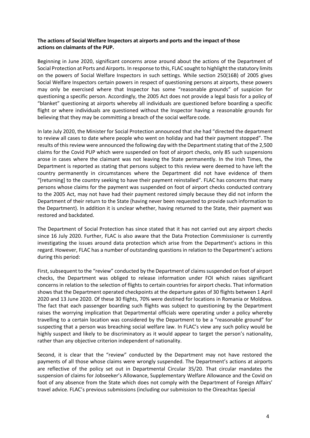# **The actions of Social Welfare Inspectors at airports and ports and the impact of those actions on claimants of the PUP.**

Beginning in June 2020, significant concerns arose around about the actions of the Department of Social Protection at Ports and Airports. In response to this, FLAC sought to highlight the statutory limits on the powers of Social Welfare Inspectors in such settings. While section 250(16B) of 2005 gives Social Welfare Inspectors certain powers in respect of questioning persons at airports, these powers may only be exercised where that Inspector has some "reasonable grounds" of suspicion for questioning a specific person. Accordingly, the 2005 Act does not provide a legal basis for a policy of "blanket" questioning at airports whereby all individuals are questioned before boarding a specific flight or where individuals are questioned without the Inspector having a reasonable grounds for believing that they may be committing a breach of the social welfare code.

In late July 2020, the Minister for Social Protection announced that she had "directed the department to review all cases to date where people who went on holiday and had their payment stopped". The results of this review were announced the following day with the Department stating that of the 2,500 claims for the Covid PUP which were suspended on foot of airport checks, only 85 such suspensions arose in cases where the claimant was not leaving the State permanently. In the Irish Times, the Department is reported as stating that persons subject to this review were deemed to have left the country permanently in circumstances where the Department did not have evidence of them "[returning] to the country seeking to have their payment reinstalled". FLAC has concerns that many persons whose claims for the payment was suspended on foot of airport checks conducted contrary to the 2005 Act, may not have had their payment restored simply because they did not inform the Department of their return to the State (having never been requested to provide such information to the Department). In addition it is unclear whether, having returned to the State, their payment was restored and backdated.

The Department of Social Protection has since stated that it has not carried out any airport checks since 16 July 2020. Further, FLAC is also aware that the Data Protection Commissioner is currently investigating the issues around data protection which arise from the Department's actions in this regard. However, FLAC has a number of outstanding questions in relation to the Department's actions during this period:

First, subsequent to the "review" conducted by the Department of claims suspended on foot of airport checks, the Department was obliged to release information under FOI which raises significant concerns in relation to the selection of flights to certain countries for airport checks. That information shows that the Department operated checkpoints at the departure gates of 30 flights between 1 April 2020 and 13 June 2020. Of these 30 flights, 70% were destined for locations in Romania or Moldova. The fact that each passenger boarding such flights was subject to questioning by the Department raises the worrying implication that Departmental officials were operating under a policy whereby travelling to a certain location was considered by the Department to be a "reasonable ground" for suspecting that a person was breaching social welfare law. In FLAC's view any such policy would be highly suspect and likely to be discriminatory as it would appear to target the person's nationality, rather than any objective criterion independent of nationality.

Second, it is clear that the "review" conducted by the Department may not have restored the payments of all those whose claims were wrongly suspended. The Department's actions at airports are reflective of the policy set out in Departmental Circular 35/20. That circular mandates the suspension of claims for Jobseeker's Allowance, Supplementary Welfare Allowance and the Covid on foot of any absence from the State which does not comply with the Department of Foreign Affairs' travel advice. FLAC's previous submissions (including our submission to the Oireachtas Special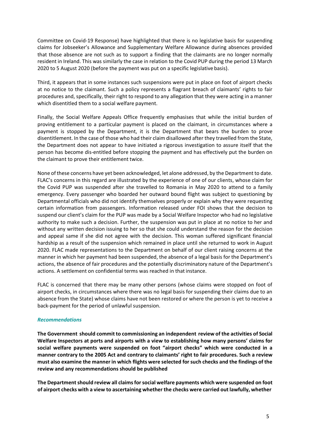Committee on Covid-19 Response) have highlighted that there is no legislative basis for suspending claims for Jobseeker's Allowance and Supplementary Welfare Allowance during absences provided that those absence are not such as to support a finding that the claimants are no longer normally resident in Ireland. This was similarly the case in relation to the Covid PUP during the period 13 March 2020 to 5 August 2020 (before the payment was put on a specific legislative basis).

Third, it appears that in some instances such suspensions were put in place on foot of airport checks at no notice to the claimant. Such a policy represents a flagrant breach of claimants' rights to fair procedures and, specifically, their right to respond to any allegation that they were acting in a manner which disentitled them to a social welfare payment.

Finally, the Social Welfare Appeals Office frequently emphasises that while the initial burden of proving entitlement to a particular payment is placed on the claimant, in circumstances where a payment is stopped by the Department, it is the Department that bears the burden to prove disentitlement. In the case of those who had their claim disallowed after they travelled from the State, the Department does not appear to have initiated a rigorous investigation to assure itself that the person has become dis-entitled before stopping the payment and has effectively put the burden on the claimant to prove their entitlement twice.

None of these concerns have yet been acknowledged, let alone addressed, by the Department to date. FLAC's concerns in this regard are illustrated by the experience of one of our clients, whose claim for the Covid PUP was suspended after she travelled to Romania in May 2020 to attend to a family emergency. Every passenger who boarded her outward bound flight was subject to questioning by Departmental officials who did not identify themselves properly or explain why they were requesting certain information from passengers. Information released under FOI shows that the decision to suspend our client's claim for the PUP was made by a Social Welfare Inspector who had no legislative authority to make such a decision. Further, the suspension was put in place at no notice to her and without any written decision issuing to her so that she could understand the reason for the decision and appeal same if she did not agree with the decision. This woman suffered significant financial hardship as a result of the suspension which remained in place until she returned to work in August 2020. FLAC made representations to the Department on behalf of our client raising concerns at the manner in which her payment had been suspended, the absence of a legal basis for the Department's actions, the absence of fair procedures and the potentially discriminatory nature of the Department's actions. A settlement on confidential terms was reached in that instance.

FLAC is concerned that there may be many other persons (whose claims were stopped on foot of airport checks, in circumstances where there was no legal basis for suspending their claims due to an absence from the State) whose claims have not been restored or where the person is yet to receive a back-payment for the period of unlawful suspension.

## *Recommendations*

**The Government should commit to commissioning an independent review of the activities of Social Welfare Inspectors at ports and airports with a view to establishing how many persons' claims for social welfare payments were suspended on foot "airport checks" which were conducted in a manner contrary to the 2005 Act and contrary to claimants' right to fair procedures. Such a review must also examine the manner in which flights were selected forsuch checks and the findings of the review and any recommendations should be published**

**The Departmentshould review all claimsforsocial welfare payments which were suspended on foot of airport checks with a view to ascertaining whether the checks were carried out lawfully, whether**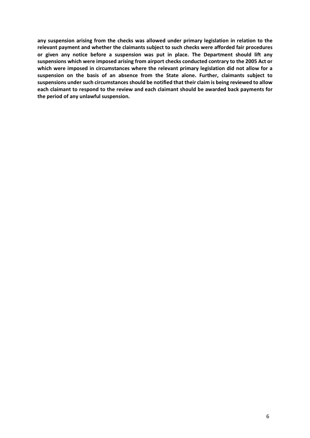**any suspension arising from the checks was allowed under primary legislation in relation to the relevant payment and whether the claimants subject to such checks were afforded fair procedures or given any notice before a suspension was put in place. The Department should lift any suspensions which were imposed arising from airport checks conducted contrary to the 2005 Act or which were imposed in circumstances where the relevant primary legislation did not allow for a suspension on the basis of an absence from the State alone. Further, claimants subject to suspensions under such circumstances should be notified that their claim is being reviewed to allow each claimant to respond to the review and each claimant should be awarded back payments for the period of any unlawful suspension.**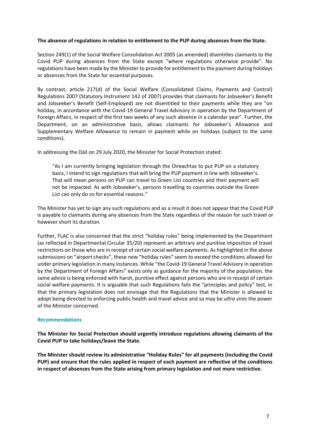# **The absence of regulations in relation to entitlement to the PUP during absences from the State.**

Section 249(1) of the Social Welfare Consolidation Act 2005 (as amended) disentitles claimants to the Covid PUP during absences from the State except "where regulations otherwise provide". No regulations have been made by the Minister to provide for entitlement to the payment during holidays or absences from the State for essential purposes.

By contrast, article 217(d) of the Social Welfare (Consolidated Claims, Payments and Control) Regulations 2007 (Statutory Instrument 142 of 2007) provides that claimants for Jobseeker's Benefit and Jobseeker's Benefit (Self-Employed) are not disentitled to their payments while they are "on holiday, in accordance with the Covid-19 General Travel Advisory in operation by the Department of Foreign Affairs, in respect of the first two weeks of any such absence in a calendar year". Further, the Department, on an administrative basis, allows claimants for Jobseeker's Allowance and Supplementary Welfare Allowance to remain in payment while on holidays (subject to the same conditions).

In addressing the Dáil on 29 July 2020, the Minister for Social Protection stated:

"As I am currently bringing legislation through the Oireachtas to put PUP on a statutory basis, I intend to sign regulations that will bring the PUP payment in line with Jobseeker's. That will mean persons on PUP can travel to Green List countries and their payment will not be impacted. As with Jobseeker's, persons travelling to countries outside the Green List can only do so for essential reasons."

The Minister has yet to sign any such regulations and as a result it does not appear that the Covid PUP is payable to claimants during any absences from the State regardless of the reason for such travel or however short its duration.

Further, FLAC is also concerned that the strict "holiday rules" being implemented by the Department (as reflected in Departmental Circular 35/20) represent an arbitrary and punitive imposition of travel restrictions on those who are in receipt of certain social welfare payments. As highlighted in the above submissions on "airport checks", these new "holiday rules" seem to exceed the conditions allowed for under primary legislation in many instances. While "the Covid-19 General Travel Advisory in operation by the Department of Foreign Affairs" exists only as guidance for the majority of the population, the same advice is being enforced with harsh, punitive effect against persons who are in receipt of certain social welfare payments. It is arguable that such Regulations fails the "principles and policy" test, in that the primary legislation does not envisage that the Regulations that the Minister is allowed to adopt being directed to enforcing public health and travel advice and so may be *ultra vires* the power of the Minister concerned.

## *Recommendations*

**The Minister for Social Protection should urgently introduce regulations allowing claimants of the Covid PUP to take holidays/leave the State.**

**The Minister should review its administrative "Holiday Rules" for all payments (including the Covid PUP) and ensure that the rules applied in respect of each payment are reflective of the conditions in respect of absences from the State arising from primary legislation and not more restrictive.**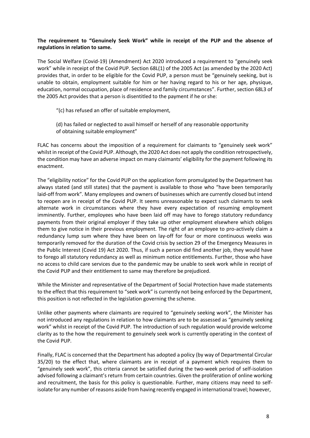# **The requirement to "Genuinely Seek Work" while in receipt of the PUP and the absence of regulations in relation to same.**

The Social Welfare (Covid-19) (Amendment) Act 2020 introduced a requirement to "genuinely seek work" while in receipt of the Covid PUP. Section 68L(1) of the 2005 Act (as amended by the 2020 Act) provides that, in order to be eligible for the Covid PUP, a person must be "genuinely seeking, but is unable to obtain, employment suitable for him or her having regard to his or her age, physique, education, normal occupation, place of residence and family circumstances". Further, section 68L3 of the 2005 Act provides that a person is disentitled to the payment if he orshe:

- "(c) has refused an offer of suitable employment,
- (d) has failed or neglected to avail himself or herself of any reasonable opportunity of obtaining suitable employment"

FLAC has concerns about the imposition of a requirement for claimants to "genuinely seek work" whilst in receipt of the Covid PUP. Although, the 2020 Act does not apply the condition retrospectively, the condition may have an adverse impact on many claimants' eligibility for the payment following its enactment.

The "eligibility notice" for the Covid PUP on the application form promulgated by the Department has always stated (and still states) that the payment is available to those who "have been temporarily laid-off from work". Many employees and owners of businesses which are currently closed but intend to reopen are in receipt of the Covid PUP. It seems unreasonable to expect such claimants to seek alternate work in circumstances where they have every expectation of resuming employment imminently. Further, employees who have been laid off may have to forego statutory redundancy payments from their original employer if they take up other employment elsewhere which obliges them to give notice in their previous employment. The right of an employee to pro-actively claim a redundancy lump sum where they have been on lay-off for four or more continuous weeks was temporarily removed for the duration of the Covid crisis by section 29 of the Emergency Measures in the Public Interest (Covid 19) Act 2020. Thus, if such a person did find another job, they would have to forego all statutory redundancy as well as minimum notice entitlements. Further, those who have no access to child care services due to the pandemic may be unable to seek work while in receipt of the Covid PUP and their entitlement to same may therefore be prejudiced.

While the Minister and representative of the Department of Social Protection have made statements to the effect that this requirement to "seek work" is currently not being enforced by the Department, this position is not reflected in the legislation governing the scheme.

Unlike other payments where claimants are required to "genuinely seeking work", the Minister has not introduced any regulations in relation to how claimants are to be assessed as "genuinely seeking work" whilst in receipt of the Covid PUP. The introduction of such regulation would provide welcome clarity as to the how the requirement to genuinely seek work is currently operating in the context of the Covid PUP.

Finally, FLAC is concerned that the Department has adopted a policy (by way of Departmental Circular 35/20) to the effect that, where claimants are in receipt of a payment which requires them to "genuinely seek work", this criteria cannot be satisfied during the two-week period of self-isolation advised following a claimant's return from certain countries. Given the proliferation of online working and recruitment, the basis for this policy is questionable. Further, many citizens may need to selfisolate for any number ofreasons aside from having recently engaged in international travel; however,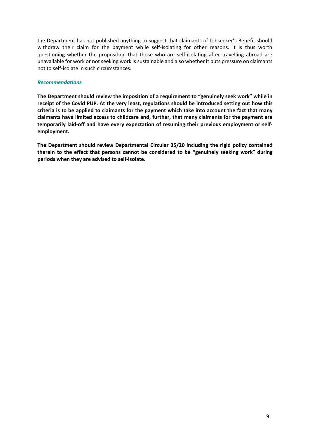the Department has not published anything to suggest that claimants of Jobseeker's Benefit should withdraw their claim for the payment while self-isolating for other reasons. It is thus worth questioning whether the proposition that those who are self-isolating after travelling abroad are unavailable for work or not seeking work is sustainable and also whether it puts pressure on claimants not to self-isolate in such circumstances.

# *Recommendations*

**The Department should review the imposition of a requirement to "genuinely seek work" while in receipt of the Covid PUP. At the very least, regulations should be introduced setting out how this criteria is to be applied to claimants for the payment which take into account the fact that many claimants have limited access to childcare and, further, that many claimants for the payment are temporarily laid-off and have every expectation of resuming their previous employment or selfemployment.**

**The Department should review Departmental Circular 35/20 including the rigid policy contained therein to the effect that persons cannot be considered to be "genuinely seeking work" during periods when they are advised to self-isolate.**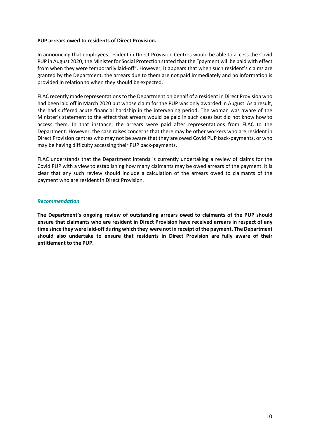#### **PUP arrears owed to residents of Direct Provision.**

In announcing that employees resident in Direct Provision Centres would be able to access the Covid PUP in August 2020, the Minister for Social Protection stated that the "payment will be paid with effect from when they were temporarily laid-off". However, it appears that when such resident's claims are granted by the Department, the arrears due to them are not paid immediately and no information is provided in relation to when they should be expected.

FLAC recently made representations to the Department on behalf of a resident in Direct Provision who had been laid off in March 2020 but whose claim for the PUP was only awarded in August. As a result, she had suffered acute financial hardship in the intervening period. The woman was aware of the Minister's statement to the effect that arrears would be paid in such cases but did not know how to access them. In that instance, the arrears were paid after representations from FLAC to the Department. However, the case raises concerns that there may be other workers who are resident in Direct Provision centres who may not be aware that they are owed Covid PUP back-payments, or who may be having difficulty accessing their PUP back-payments.

FLAC understands that the Department intends is currently undertaking a review of claims for the Covid PUP with a view to establishing how many claimants may be owed arrears of the payment. It is clear that any such review should include a calculation of the arrears owed to claimants of the payment who are resident in Direct Provision.

## *Recommendation*

**The Department's ongoing review of outstanding arrears owed to claimants of the PUP should ensure that claimants who are resident in Direct Provision have received arrears in respect of any time since they were laid-off during which they were not in receipt of the payment. The Department should also undertake to ensure that residents in Direct Provision are fully aware of their entitlement to the PUP.**